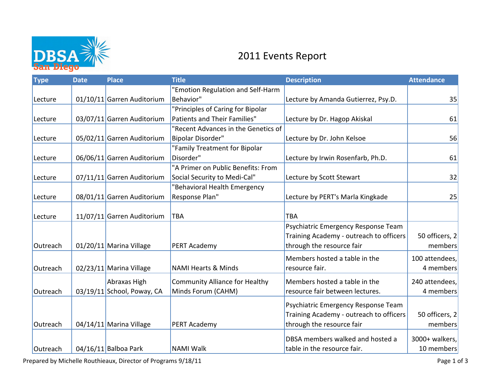

## 2011 Events Report

| 35<br>61<br>56 |
|----------------|
|                |
|                |
|                |
|                |
|                |
|                |
|                |
| 61             |
|                |
| 32             |
|                |
| 25             |
|                |
|                |
|                |
| 50 officers, 2 |
| members        |
| 100 attendees, |
| 4 members      |
| 240 attendees, |
| 4 members      |
|                |
|                |
| 50 officers, 2 |
| members        |
| 3000+ walkers, |
| 10 members     |
|                |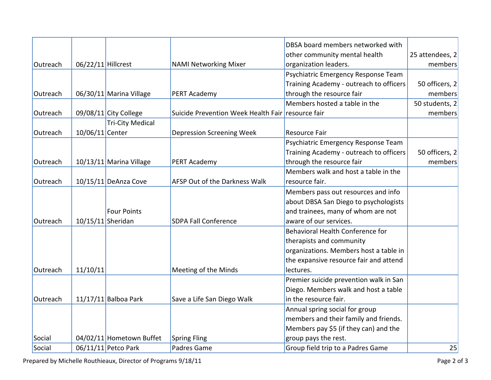|          |                    |                           |                                                   | DBSA board members networked with       |                 |
|----------|--------------------|---------------------------|---------------------------------------------------|-----------------------------------------|-----------------|
|          |                    |                           |                                                   | other community mental health           | 25 attendees, 2 |
| Outreach | 06/22/11 Hillcrest |                           | <b>NAMI Networking Mixer</b>                      | organization leaders.                   | members         |
|          |                    |                           |                                                   | Psychiatric Emergency Response Team     |                 |
|          |                    |                           |                                                   | Training Academy - outreach to officers | 50 officers, 2  |
| Outreach |                    | 06/30/11 Marina Village   | PERT Academy                                      | through the resource fair               | members         |
|          |                    |                           |                                                   | Members hosted a table in the           | 50 students, 2  |
| Outreach |                    | 09/08/11 City College     | Suicide Prevention Week Health Fair resource fair |                                         | members         |
|          |                    | <b>Tri-City Medical</b>   |                                                   |                                         |                 |
| Outreach | 10/06/11 Center    |                           | Depression Screening Week                         | <b>Resource Fair</b>                    |                 |
|          |                    |                           |                                                   | Psychiatric Emergency Response Team     |                 |
|          |                    |                           |                                                   | Training Academy - outreach to officers | 50 officers, 2  |
| Outreach |                    | $10/13/11$ Marina Village | PERT Academy                                      | through the resource fair               | members         |
|          |                    |                           |                                                   | Members walk and host a table in the    |                 |
| Outreach |                    | $10/15/11$ DeAnza Cove    | AFSP Out of the Darkness Walk                     | resource fair.                          |                 |
|          |                    |                           |                                                   | Members pass out resources and info     |                 |
|          |                    |                           |                                                   | about DBSA San Diego to psychologists   |                 |
|          |                    | <b>Four Points</b>        |                                                   | and trainees, many of whom are not      |                 |
| Outreach | 10/15/11 Sheridan  |                           | <b>SDPA Fall Conference</b>                       | aware of our services.                  |                 |
|          |                    |                           |                                                   | Behavioral Health Conference for        |                 |
|          |                    |                           |                                                   | therapists and community                |                 |
|          |                    |                           |                                                   | organizations. Members host a table in  |                 |
|          |                    |                           |                                                   | the expansive resource fair and attend  |                 |
| Outreach | 11/10/11           |                           | Meeting of the Minds                              | lectures.                               |                 |
|          |                    |                           |                                                   | Premier suicide prevention walk in San  |                 |
|          |                    |                           |                                                   | Diego. Members walk and host a table    |                 |
| Outreach |                    | $11/17/11$ Balboa Park    | Save a Life San Diego Walk                        | in the resource fair.                   |                 |
|          |                    |                           |                                                   | Annual spring social for group          |                 |
|          |                    |                           |                                                   | members and their family and friends.   |                 |
|          |                    |                           |                                                   | Members pay \$5 (if they can) and the   |                 |
| Social   |                    | 04/02/11 Hometown Buffet  | <b>Spring Fling</b>                               | group pays the rest.                    |                 |
| Social   |                    | 06/11/11 Petco Park       | Padres Game                                       | Group field trip to a Padres Game       | 25              |